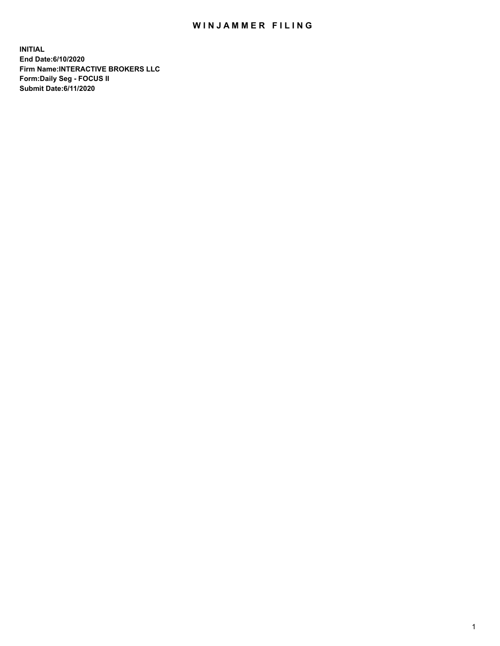## WIN JAMMER FILING

**INITIAL End Date:6/10/2020 Firm Name:INTERACTIVE BROKERS LLC Form:Daily Seg - FOCUS II Submit Date:6/11/2020**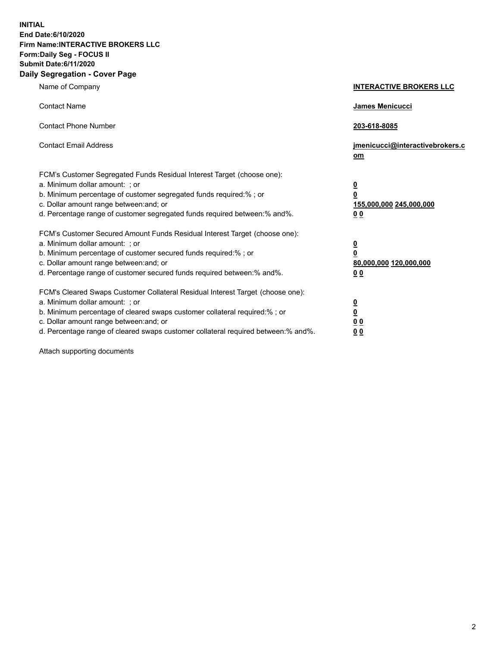**INITIAL End Date:6/10/2020 Firm Name:INTERACTIVE BROKERS LLC Form:Daily Seg - FOCUS II Submit Date:6/11/2020 Daily Segregation - Cover Page**

| Name of Company                                                                                                                                                                                                                                                                                                                | <b>INTERACTIVE BROKERS LLC</b>                                                                  |
|--------------------------------------------------------------------------------------------------------------------------------------------------------------------------------------------------------------------------------------------------------------------------------------------------------------------------------|-------------------------------------------------------------------------------------------------|
| <b>Contact Name</b>                                                                                                                                                                                                                                                                                                            | <b>James Menicucci</b>                                                                          |
| <b>Contact Phone Number</b>                                                                                                                                                                                                                                                                                                    | 203-618-8085                                                                                    |
| <b>Contact Email Address</b>                                                                                                                                                                                                                                                                                                   | jmenicucci@interactivebrokers.c<br>om                                                           |
| FCM's Customer Segregated Funds Residual Interest Target (choose one):<br>a. Minimum dollar amount: ; or<br>b. Minimum percentage of customer segregated funds required:%; or<br>c. Dollar amount range between: and; or<br>d. Percentage range of customer segregated funds required between:% and%.                          | $\overline{\mathbf{0}}$<br>$\overline{\mathbf{0}}$<br>155,000,000 245,000,000<br>0 <sub>0</sub> |
| FCM's Customer Secured Amount Funds Residual Interest Target (choose one):<br>a. Minimum dollar amount: ; or<br>b. Minimum percentage of customer secured funds required:%; or<br>c. Dollar amount range between: and; or<br>d. Percentage range of customer secured funds required between:% and%.                            | <u>0</u><br>$\overline{\mathbf{0}}$<br>80,000,000 120,000,000<br>0 <sub>0</sub>                 |
| FCM's Cleared Swaps Customer Collateral Residual Interest Target (choose one):<br>a. Minimum dollar amount: ; or<br>b. Minimum percentage of cleared swaps customer collateral required:% ; or<br>c. Dollar amount range between: and; or<br>d. Percentage range of cleared swaps customer collateral required between:% and%. | <u>0</u><br>$\underline{\mathbf{0}}$<br>0 <sub>0</sub><br>00                                    |

Attach supporting documents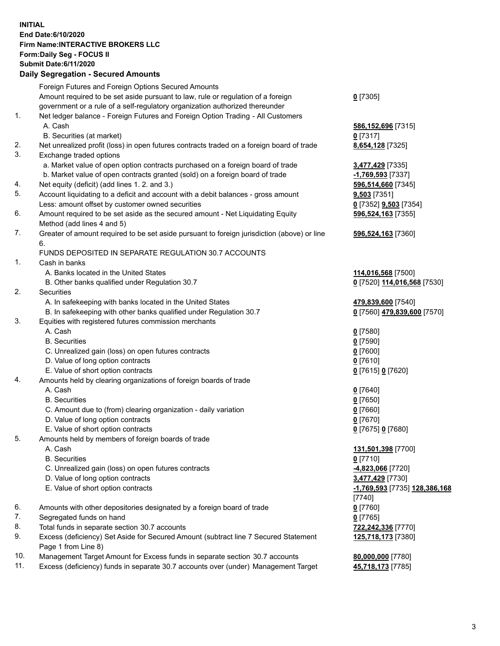## **INITIAL End Date:6/10/2020 Firm Name:INTERACTIVE BROKERS LLC Form:Daily Seg - FOCUS II Submit Date:6/11/2020 Daily Segregation - Secured Amounts**

|     | Daily Segregation - Secured Amounts                                                         |                               |
|-----|---------------------------------------------------------------------------------------------|-------------------------------|
|     | Foreign Futures and Foreign Options Secured Amounts                                         |                               |
|     | Amount required to be set aside pursuant to law, rule or regulation of a foreign            | $0$ [7305]                    |
|     | government or a rule of a self-regulatory organization authorized thereunder                |                               |
| 1.  | Net ledger balance - Foreign Futures and Foreign Option Trading - All Customers             |                               |
|     | A. Cash                                                                                     | 586,152,696 [7315]            |
|     | B. Securities (at market)                                                                   | $0$ [7317]                    |
| 2.  | Net unrealized profit (loss) in open futures contracts traded on a foreign board of trade   | 8,654,128 [7325]              |
| 3.  | Exchange traded options                                                                     |                               |
|     | a. Market value of open option contracts purchased on a foreign board of trade              | 3,477,429 [7335]              |
|     | b. Market value of open contracts granted (sold) on a foreign board of trade                | -1,769,593 [7337]             |
| 4.  | Net equity (deficit) (add lines 1. 2. and 3.)                                               | 596,514,660 [7345]            |
| 5.  | Account liquidating to a deficit and account with a debit balances - gross amount           | $9,503$ [7351]                |
|     | Less: amount offset by customer owned securities                                            | 0 [7352] 9,503 [7354]         |
| 6.  | Amount required to be set aside as the secured amount - Net Liquidating Equity              | 596,524,163 [7355]            |
|     | Method (add lines 4 and 5)                                                                  |                               |
| 7.  | Greater of amount required to be set aside pursuant to foreign jurisdiction (above) or line | 596,524,163 [7360]            |
|     | 6.                                                                                          |                               |
|     | FUNDS DEPOSITED IN SEPARATE REGULATION 30.7 ACCOUNTS                                        |                               |
| 1.  | Cash in banks                                                                               |                               |
|     |                                                                                             |                               |
|     | A. Banks located in the United States                                                       | 114,016,568 [7500]            |
| 2.  | B. Other banks qualified under Regulation 30.7                                              | 0 [7520] 114,016,568 [7530]   |
|     | Securities                                                                                  |                               |
|     | A. In safekeeping with banks located in the United States                                   | 479,839,600 [7540]            |
|     | B. In safekeeping with other banks qualified under Regulation 30.7                          | 0 [7560] 479,839,600 [7570]   |
| 3.  | Equities with registered futures commission merchants                                       |                               |
|     | A. Cash                                                                                     | $0$ [7580]                    |
|     | <b>B.</b> Securities                                                                        | $0$ [7590]                    |
|     | C. Unrealized gain (loss) on open futures contracts                                         | $0$ [7600]                    |
|     | D. Value of long option contracts                                                           | $0$ [7610]                    |
|     | E. Value of short option contracts                                                          | 0 [7615] 0 [7620]             |
| 4.  | Amounts held by clearing organizations of foreign boards of trade                           |                               |
|     | A. Cash                                                                                     | $0$ [7640]                    |
|     | <b>B.</b> Securities                                                                        | $0$ [7650]                    |
|     | C. Amount due to (from) clearing organization - daily variation                             | $0$ [7660]                    |
|     | D. Value of long option contracts                                                           | $0$ [7670]                    |
|     | E. Value of short option contracts                                                          | 0 [7675] 0 [7680]             |
| 5.  | Amounts held by members of foreign boards of trade                                          |                               |
|     | A. Cash                                                                                     | 131,501,398 [7700]            |
|     | <b>B.</b> Securities                                                                        | $0$ [7710]                    |
|     | C. Unrealized gain (loss) on open futures contracts                                         | 4,823,066 [7720]              |
|     | D. Value of long option contracts                                                           | 3,477,429 [7730]              |
|     | E. Value of short option contracts                                                          | -1,769,593 [7735] 128,386,168 |
|     |                                                                                             | [7740]                        |
| 6.  | Amounts with other depositories designated by a foreign board of trade                      | $0$ [7760]                    |
| 7.  | Segregated funds on hand                                                                    | $0$ [7765]                    |
| 8.  | Total funds in separate section 30.7 accounts                                               | 722,242,336 [7770]            |
| 9.  | Excess (deficiency) Set Aside for Secured Amount (subtract line 7 Secured Statement         | 125,718,173 [7380]            |
|     | Page 1 from Line 8)                                                                         |                               |
| 10. | Management Target Amount for Excess funds in separate section 30.7 accounts                 | 80,000,000 [7780]             |
| 11. | Excess (deficiency) funds in separate 30.7 accounts over (under) Management Target          | 45,718,173 [7785]             |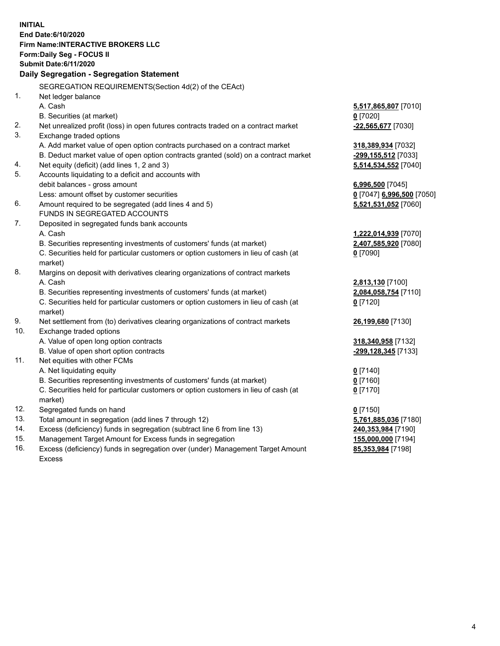**INITIAL End Date:6/10/2020 Firm Name:INTERACTIVE BROKERS LLC Form:Daily Seg - FOCUS II Submit Date:6/11/2020 Daily Segregation - Segregation Statement** SEGREGATION REQUIREMENTS(Section 4d(2) of the CEAct) 1. Net ledger balance A. Cash **5,517,865,807** [7010] B. Securities (at market) **0** [7020] 2. Net unrealized profit (loss) in open futures contracts traded on a contract market **-22,565,677** [7030] 3. Exchange traded options A. Add market value of open option contracts purchased on a contract market **318,389,934** [7032] B. Deduct market value of open option contracts granted (sold) on a contract market **-299,155,512** [7033] 4. Net equity (deficit) (add lines 1, 2 and 3) **5,514,534,552** [7040] 5. Accounts liquidating to a deficit and accounts with debit balances - gross amount **6,996,500** [7045] Less: amount offset by customer securities **0** [7047] **6,996,500** [7050] 6. Amount required to be segregated (add lines 4 and 5) **5,521,531,052** [7060] FUNDS IN SEGREGATED ACCOUNTS 7. Deposited in segregated funds bank accounts A. Cash **1,222,014,939** [7070] B. Securities representing investments of customers' funds (at market) **2,407,585,920** [7080] C. Securities held for particular customers or option customers in lieu of cash (at market) **0** [7090] 8. Margins on deposit with derivatives clearing organizations of contract markets A. Cash **2,813,130** [7100] B. Securities representing investments of customers' funds (at market) **2,084,058,754** [7110] C. Securities held for particular customers or option customers in lieu of cash (at market) **0** [7120] 9. Net settlement from (to) derivatives clearing organizations of contract markets **26,199,680** [7130] 10. Exchange traded options A. Value of open long option contracts **318,340,958** [7132] B. Value of open short option contracts **-299,128,345** [7133] 11. Net equities with other FCMs A. Net liquidating equity **0** [7140] B. Securities representing investments of customers' funds (at market) **0** [7160] C. Securities held for particular customers or option customers in lieu of cash (at market) **0** [7170] 12. Segregated funds on hand **0** [7150] 13. Total amount in segregation (add lines 7 through 12) **5,761,885,036** [7180] 14. Excess (deficiency) funds in segregation (subtract line 6 from line 13) **240,353,984** [7190] 15. Management Target Amount for Excess funds in segregation **155,000,000** [7194] **85,353,984** [7198]

16. Excess (deficiency) funds in segregation over (under) Management Target Amount Excess